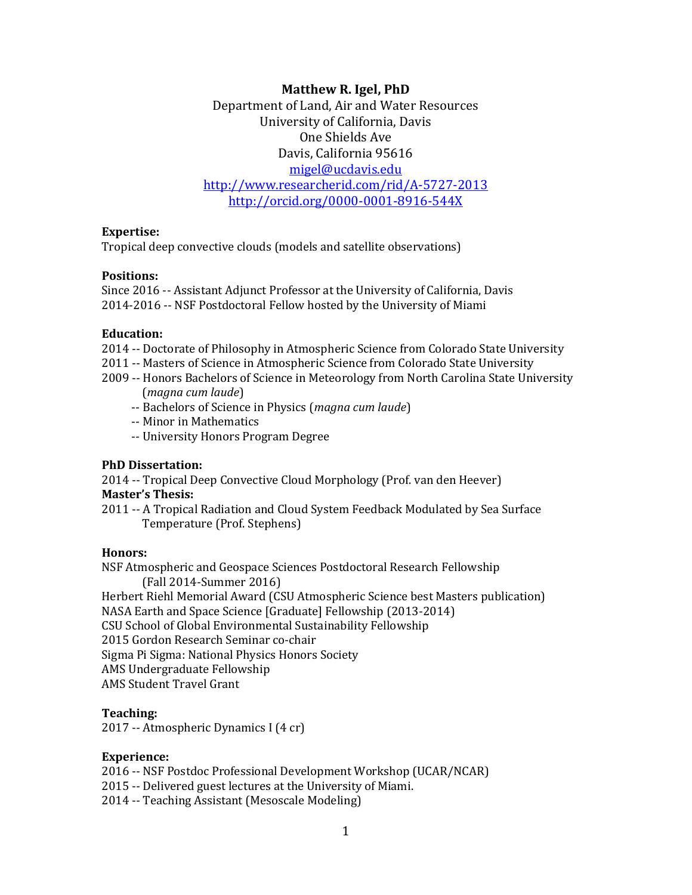# **Matthew R. Igel, PhD**

Department of Land, Air and Water Resources University of California, Davis One Shields Ave Davis, California 95616 [migel@ucdavis.edu](mailto:migel@ucdavis.edu) <http://www.researcherid.com/rid/A-5727-2013> <http://orcid.org/0000-0001-8916-544X>

#### **Expertise:**

Tropical deep convective clouds (models and satellite observations)

# **Positions:**

Since 2016 -- Assistant Adjunct Professor at the University of California, Davis 2014-2016 -- NSF Postdoctoral Fellow hosted by the University of Miami

#### **Education:**

- 2014 -- Doctorate of Philosophy in Atmospheric Science from Colorado State University
- 2011 -- Masters of Science in Atmospheric Science from Colorado State University
- 2009 -- Honors Bachelors of Science in Meteorology from North Carolina State University (*magna cum laude*)
	- -- Bachelors of Science in Physics (*magna cum laude*)
	- -- Minor in Mathematics
	- -- University Honors Program Degree

# **PhD Dissertation:**

2014 -- Tropical Deep Convective Cloud Morphology (Prof. van den Heever) **Master's Thesis:**

2011 -- A Tropical Radiation and Cloud System Feedback Modulated by Sea Surface Temperature (Prof. Stephens)

#### **Honors:**

NSF Atmospheric and Geospace Sciences Postdoctoral Research Fellowship (Fall 2014-Summer 2016)

Herbert Riehl Memorial Award (CSU Atmospheric Science best Masters publication) NASA Earth and Space Science [Graduate] Fellowship (2013-2014)

CSU School of Global Environmental Sustainability Fellowship

2015 Gordon Research Seminar co-chair

Sigma Pi Sigma: National Physics Honors Society

AMS Undergraduate Fellowship

AMS Student Travel Grant

# **Teaching:**

2017 -- Atmospheric Dynamics I (4 cr)

# **Experience:**

- 2016 -- NSF Postdoc Professional Development Workshop (UCAR/NCAR)
- 2015 -- Delivered guest lectures at the University of Miami.
- 2014 -- Teaching Assistant (Mesoscale Modeling)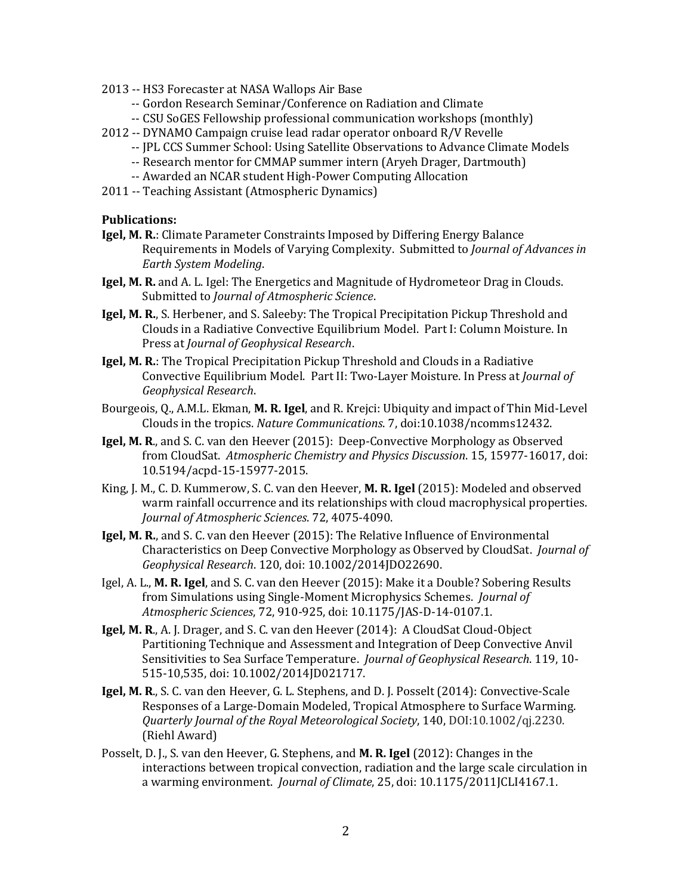- 2013 -- HS3 Forecaster at NASA Wallops Air Base
	- -- Gordon Research Seminar/Conference on Radiation and Climate
	- -- CSU SoGES Fellowship professional communication workshops (monthly)
- 2012 -- DYNAMO Campaign cruise lead radar operator onboard R/V Revelle
	- -- JPL CCS Summer School: Using Satellite Observations to Advance Climate Models
	- -- Research mentor for CMMAP summer intern (Aryeh Drager, Dartmouth)
	- -- Awarded an NCAR student High-Power Computing Allocation
- 2011 -- Teaching Assistant (Atmospheric Dynamics)

#### **Publications:**

- **Igel, M. R.**: Climate Parameter Constraints Imposed by Differing Energy Balance Requirements in Models of Varying Complexity. Submitted to *Journal of Advances in Earth System Modeling*.
- **Igel, M. R.** and A. L. Igel: The Energetics and Magnitude of Hydrometeor Drag in Clouds. Submitted to *Journal of Atmospheric Science*.
- **Igel, M. R.**, S. Herbener, and S. Saleeby: The Tropical Precipitation Pickup Threshold and Clouds in a Radiative Convective Equilibrium Model. Part I: Column Moisture. In Press at *Journal of Geophysical Research*.
- **Igel, M. R.**: The Tropical Precipitation Pickup Threshold and Clouds in a Radiative Convective Equilibrium Model. Part II: Two-Layer Moisture. In Press at *Journal of Geophysical Research*.
- Bourgeois, Q., A.M.L. Ekman, **M. R. Igel**, and R. Krejci: Ubiquity and impact of Thin Mid-Level Clouds in the tropics. *Nature Communications*. 7, doi:10.1038/ncomms12432.
- **Igel, M. R**., and S. C. van den Heever (2015): Deep-Convective Morphology as Observed from CloudSat. *Atmospheric Chemistry and Physics Discussion*. 15, 15977-16017, doi: 10.5194/acpd-15-15977-2015.
- King, J. M., C. D. Kummerow, S. C. van den Heever, **M. R. Igel** (2015): Modeled and observed warm rainfall occurrence and its relationships with cloud macrophysical properties. *Journal of Atmospheric Sciences*. 72, 4075-4090.
- **Igel, M. R.**, and S. C. van den Heever (2015): The Relative Influence of Environmental Characteristics on Deep Convective Morphology as Observed by CloudSat. *Journal of Geophysical Research*. 120, doi: 10.1002/2014JDO22690.
- Igel, A. L., **M. R. Igel**, and S. C. van den Heever (2015): Make it a Double? Sobering Results from Simulations using Single-Moment Microphysics Schemes. *Journal of Atmospheric Sciences*, 72, 910-925, doi: 10.1175/JAS-D-14-0107.1.
- **Igel, M. R., A. J. Drager, and S. C. van den Heever (2014): A CloudSat Cloud-Object** Partitioning Technique and Assessment and Integration of Deep Convective Anvil Sensitivities to Sea Surface Temperature. *Journal of Geophysical Research*. 119, 10- 515-10,535, doi: 10.1002/2014JD021717.
- **Igel, M. R**., S. C. van den Heever, G. L. Stephens, and D. J. Posselt (2014): Convective-Scale Responses of a Large-Domain Modeled, Tropical Atmosphere to Surface Warming. *Quarterly Journal of the Royal Meteorological Society*, 140, DOI:10.1002/qj.2230. (Riehl Award)
- Posselt, D. J., S. van den Heever, G. Stephens, and **M. R. Igel** (2012): Changes in the interactions between tropical convection, radiation and the large scale circulation in a warming environment. *Journal of Climate*, 25, doi: 10.1175/2011JCLI4167.1.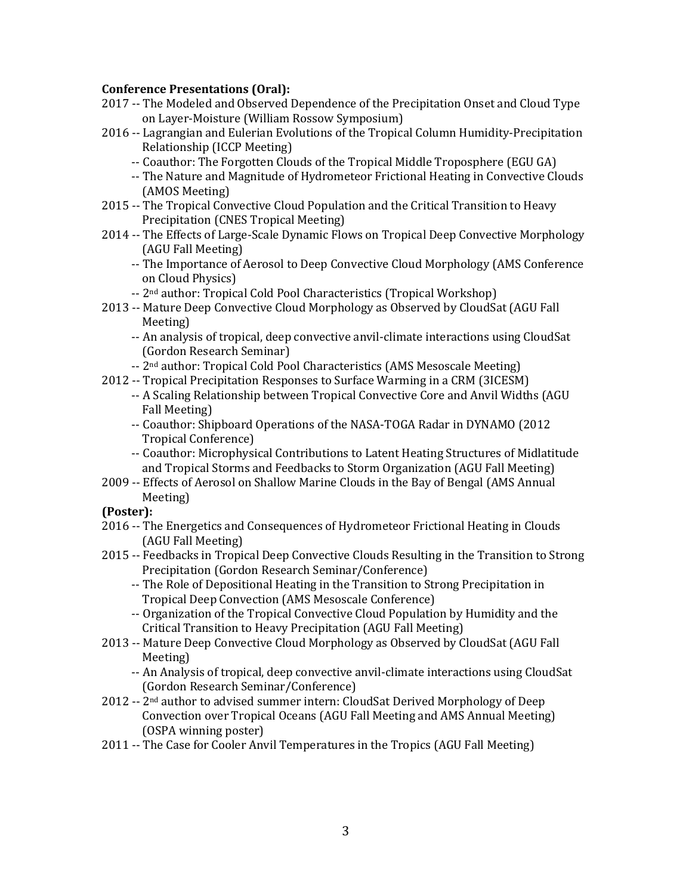# **Conference Presentations (Oral):**

- 2017 -- The Modeled and Observed Dependence of the Precipitation Onset and Cloud Type on Layer-Moisture (William Rossow Symposium)
- 2016 -- Lagrangian and Eulerian Evolutions of the Tropical Column Humidity-Precipitation Relationship (ICCP Meeting)
	- -- Coauthor: The Forgotten Clouds of the Tropical Middle Troposphere (EGU GA)
	- -- The Nature and Magnitude of Hydrometeor Frictional Heating in Convective Clouds (AMOS Meeting)
- 2015 -- The Tropical Convective Cloud Population and the Critical Transition to Heavy Precipitation (CNES Tropical Meeting)
- 2014 -- The Effects of Large-Scale Dynamic Flows on Tropical Deep Convective Morphology (AGU Fall Meeting)
	- -- The Importance of Aerosol to Deep Convective Cloud Morphology (AMS Conference on Cloud Physics)
	- -- 2nd author: Tropical Cold Pool Characteristics (Tropical Workshop)
- 2013 -- Mature Deep Convective Cloud Morphology as Observed by CloudSat (AGU Fall Meeting)
	- -- An analysis of tropical, deep convective anvil-climate interactions using CloudSat (Gordon Research Seminar)
	- -- 2nd author: Tropical Cold Pool Characteristics (AMS Mesoscale Meeting)
- 2012 -- Tropical Precipitation Responses to Surface Warming in a CRM (3ICESM)
	- -- A Scaling Relationship between Tropical Convective Core and Anvil Widths (AGU Fall Meeting)
	- -- Coauthor: Shipboard Operations of the NASA-TOGA Radar in DYNAMO (2012 Tropical Conference)
	- -- Coauthor: Microphysical Contributions to Latent Heating Structures of Midlatitude and Tropical Storms and Feedbacks to Storm Organization (AGU Fall Meeting)
- 2009 -- Effects of Aerosol on Shallow Marine Clouds in the Bay of Bengal (AMS Annual Meeting)

# **(Poster):**

- 2016 -- The Energetics and Consequences of Hydrometeor Frictional Heating in Clouds (AGU Fall Meeting)
- 2015 -- Feedbacks in Tropical Deep Convective Clouds Resulting in the Transition to Strong Precipitation (Gordon Research Seminar/Conference)
	- -- The Role of Depositional Heating in the Transition to Strong Precipitation in Tropical Deep Convection (AMS Mesoscale Conference)
	- -- Organization of the Tropical Convective Cloud Population by Humidity and the Critical Transition to Heavy Precipitation (AGU Fall Meeting)
- 2013 -- Mature Deep Convective Cloud Morphology as Observed by CloudSat (AGU Fall Meeting)
	- -- An Analysis of tropical, deep convective anvil-climate interactions using CloudSat (Gordon Research Seminar/Conference)
- 2012 -- 2nd author to advised summer intern: CloudSat Derived Morphology of Deep Convection over Tropical Oceans (AGU Fall Meeting and AMS Annual Meeting) (OSPA winning poster)
- 2011 -- The Case for Cooler Anvil Temperatures in the Tropics (AGU Fall Meeting)